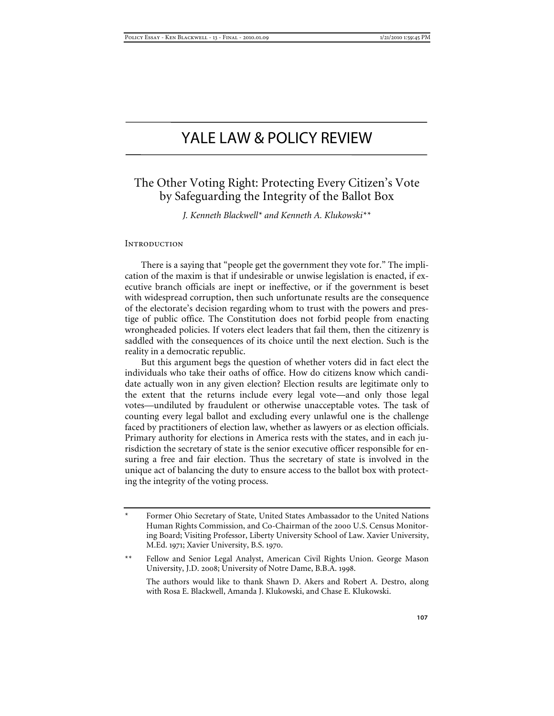# YALE LAW & POLICY REVIEW

# The Other Voting Right: Protecting Every Citizen's Vote by Safeguarding the Integrity of the Ballot Box

*J. Kenneth Blackwell\* and Kenneth A. Klukowski\*\** 

#### **INTRODUCTION**

There is a saying that "people get the government they vote for." The implication of the maxim is that if undesirable or unwise legislation is enacted, if executive branch officials are inept or ineffective, or if the government is beset with widespread corruption, then such unfortunate results are the consequence of the electorate's decision regarding whom to trust with the powers and prestige of public office. The Constitution does not forbid people from enacting wrongheaded policies. If voters elect leaders that fail them, then the citizenry is saddled with the consequences of its choice until the next election. Such is the reality in a democratic republic.

But this argument begs the question of whether voters did in fact elect the individuals who take their oaths of office. How do citizens know which candidate actually won in any given election? Election results are legitimate only to the extent that the returns include every legal vote—and only those legal votes—undiluted by fraudulent or otherwise unacceptable votes. The task of counting every legal ballot and excluding every unlawful one is the challenge faced by practitioners of election law, whether as lawyers or as election officials. Primary authority for elections in America rests with the states, and in each jurisdiction the secretary of state is the senior executive officer responsible for ensuring a free and fair election. Thus the secretary of state is involved in the unique act of balancing the duty to ensure access to the ballot box with protecting the integrity of the voting process.

\*\* Fellow and Senior Legal Analyst, American Civil Rights Union. George Mason University, J.D. 2008; University of Notre Dame, B.B.A. 1998.

 The authors would like to thank Shawn D. Akers and Robert A. Destro, along with Rosa E. Blackwell, Amanda J. Klukowski, and Chase E. Klukowski.

Former Ohio Secretary of State, United States Ambassador to the United Nations Human Rights Commission, and Co-Chairman of the 2000 U.S. Census Monitoring Board; Visiting Professor, Liberty University School of Law. Xavier University, M.Ed. 1971; Xavier University, B.S. 1970.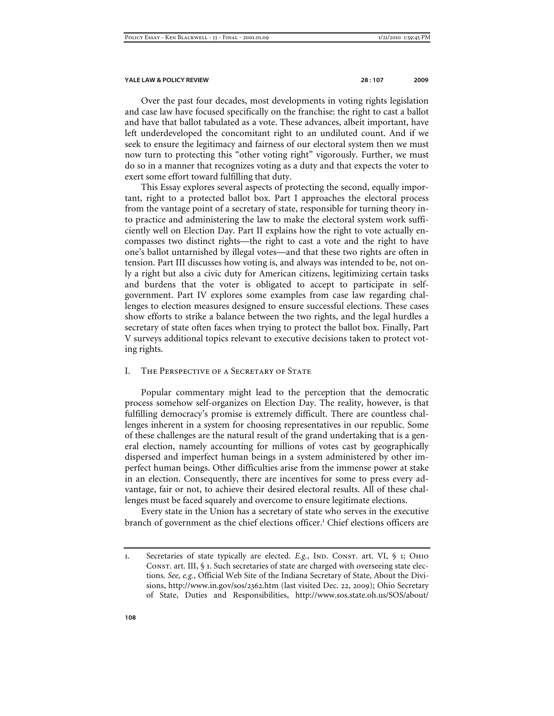Over the past four decades, most developments in voting rights legislation and case law have focused specifically on the franchise: the right to cast a ballot and have that ballot tabulated as a vote. These advances, albeit important, have left underdeveloped the concomitant right to an undiluted count. And if we seek to ensure the legitimacy and fairness of our electoral system then we must now turn to protecting this "other voting right" vigorously. Further, we must do so in a manner that recognizes voting as a duty and that expects the voter to exert some effort toward fulfilling that duty.

This Essay explores several aspects of protecting the second, equally important, right to a protected ballot box. Part I approaches the electoral process from the vantage point of a secretary of state, responsible for turning theory into practice and administering the law to make the electoral system work sufficiently well on Election Day. Part II explains how the right to vote actually encompasses two distinct rights—the right to cast a vote and the right to have one's ballot untarnished by illegal votes—and that these two rights are often in tension. Part III discusses how voting is, and always was intended to be, not only a right but also a civic duty for American citizens, legitimizing certain tasks and burdens that the voter is obligated to accept to participate in selfgovernment. Part IV explores some examples from case law regarding challenges to election measures designed to ensure successful elections. These cases show efforts to strike a balance between the two rights, and the legal hurdles a secretary of state often faces when trying to protect the ballot box. Finally, Part V surveys additional topics relevant to executive decisions taken to protect voting rights.

#### I. The Perspective of a Secretary of State

Popular commentary might lead to the perception that the democratic process somehow self-organizes on Election Day. The reality, however, is that fulfilling democracy's promise is extremely difficult. There are countless challenges inherent in a system for choosing representatives in our republic. Some of these challenges are the natural result of the grand undertaking that is a general election, namely accounting for millions of votes cast by geographically dispersed and imperfect human beings in a system administered by other imperfect human beings. Other difficulties arise from the immense power at stake in an election. Consequently, there are incentives for some to press every advantage, fair or not, to achieve their desired electoral results. All of these challenges must be faced squarely and overcome to ensure legitimate elections.

Every state in the Union has a secretary of state who serves in the executive branch of government as the chief elections officer.<sup>1</sup> Chief elections officers are

<sup>1.</sup> Secretaries of state typically are elected.  $E.g., \text{ }$  IND. CONST. art. VI,  $\oint$  1; OHIO CONST. art. III, § 1. Such secretaries of state are charged with overseeing state elections. *See, e.g.*, Official Web Site of the Indiana Secretary of State, About the Divisions, http://www.in.gov/sos/2362.htm (last visited Dec. 22, 2009); Ohio Secretary of State, Duties and Responsibilities, http://www.sos.state.oh.us/SOS/about/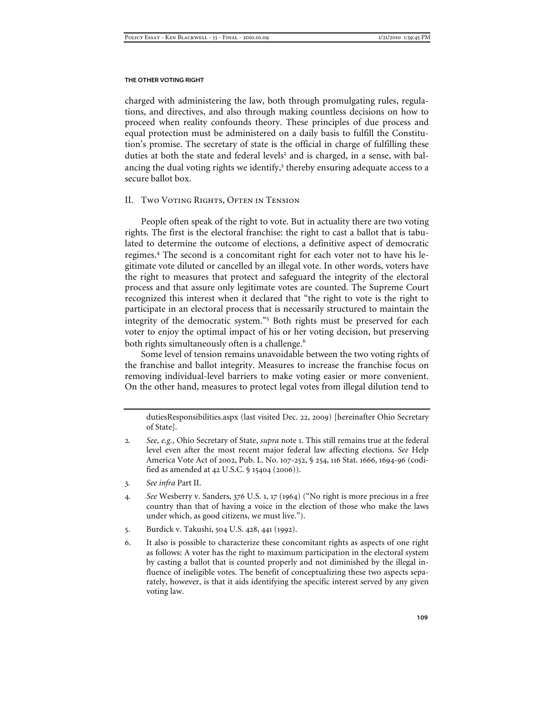charged with administering the law, both through promulgating rules, regulations, and directives, and also through making countless decisions on how to proceed when reality confounds theory. These principles of due process and equal protection must be administered on a daily basis to fulfill the Constitution's promise. The secretary of state is the official in charge of fulfilling these duties at both the state and federal levels<sup>2</sup> and is charged, in a sense, with balancing the dual voting rights we identify,<sup>3</sup> thereby ensuring adequate access to a secure ballot box.

### II. Two Voting Rights, Often in Tension

People often speak of the right to vote. But in actuality there are two voting rights. The first is the electoral franchise: the right to cast a ballot that is tabulated to determine the outcome of elections, a definitive aspect of democratic regimes.<sup>4</sup> The second is a concomitant right for each voter not to have his legitimate vote diluted or cancelled by an illegal vote. In other words, voters have the right to measures that protect and safeguard the integrity of the electoral process and that assure only legitimate votes are counted. The Supreme Court recognized this interest when it declared that "the right to vote is the right to participate in an electoral process that is necessarily structured to maintain the integrity of the democratic system."<sup>5</sup> Both rights must be preserved for each voter to enjoy the optimal impact of his or her voting decision, but preserving both rights simultaneously often is a challenge.<sup>6</sup>

Some level of tension remains unavoidable between the two voting rights of the franchise and ballot integrity. Measures to increase the franchise focus on removing individual-level barriers to make voting easier or more convenient. On the other hand, measures to protect legal votes from illegal dilution tend to

dutiesResponsibilities.aspx (last visited Dec. 22, 2009) [hereinafter Ohio Secretary of State].

- 2*. See, e.g.*, Ohio Secretary of State, *supra* note 1. This still remains true at the federal level even after the most recent major federal law affecting elections. *See* Help America Vote Act of 2002, Pub. L. No. 107-252, § 254, 116 Stat. 1666, 1694-96 (codified as amended at 42 U.S.C. § 15404 (2006)).
- 3*. See infra* Part II.
- 4*. See* Wesberry v. Sanders, 376 U.S. 1, 17 (1964) ("No right is more precious in a free country than that of having a voice in the election of those who make the laws under which, as good citizens, we must live.").
- 5. Burdick v. Takushi, 504 U.S. 428, 441 (1992).
- 6. It also is possible to characterize these concomitant rights as aspects of one right as follows: A voter has the right to maximum participation in the electoral system by casting a ballot that is counted properly and not diminished by the illegal influence of ineligible votes. The benefit of conceptualizing these two aspects separately, however, is that it aids identifying the specific interest served by any given voting law.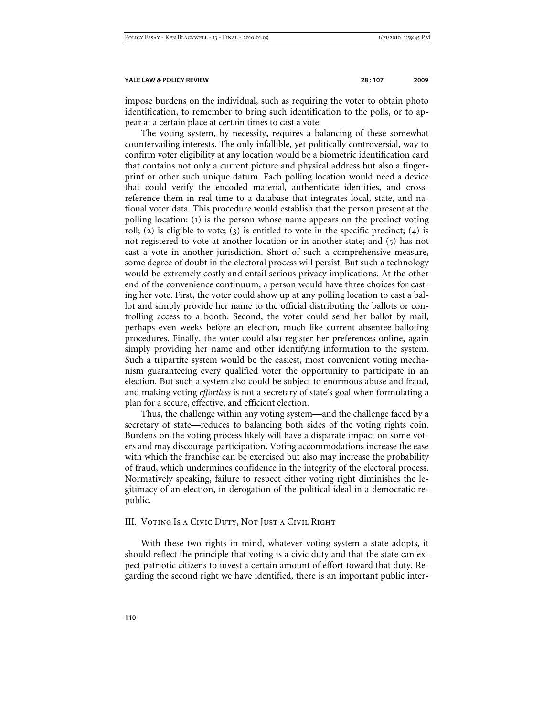impose burdens on the individual, such as requiring the voter to obtain photo identification, to remember to bring such identification to the polls, or to appear at a certain place at certain times to cast a vote.

The voting system, by necessity, requires a balancing of these somewhat countervailing interests. The only infallible, yet politically controversial, way to confirm voter eligibility at any location would be a biometric identification card that contains not only a current picture and physical address but also a fingerprint or other such unique datum. Each polling location would need a device that could verify the encoded material, authenticate identities, and crossreference them in real time to a database that integrates local, state, and national voter data. This procedure would establish that the person present at the polling location: (1) is the person whose name appears on the precinct voting roll; (2) is eligible to vote; (3) is entitled to vote in the specific precinct; (4) is not registered to vote at another location or in another state; and (5) has not cast a vote in another jurisdiction. Short of such a comprehensive measure, some degree of doubt in the electoral process will persist. But such a technology would be extremely costly and entail serious privacy implications. At the other end of the convenience continuum, a person would have three choices for casting her vote. First, the voter could show up at any polling location to cast a ballot and simply provide her name to the official distributing the ballots or controlling access to a booth. Second, the voter could send her ballot by mail, perhaps even weeks before an election, much like current absentee balloting procedures. Finally, the voter could also register her preferences online, again simply providing her name and other identifying information to the system. Such a tripartite system would be the easiest, most convenient voting mechanism guaranteeing every qualified voter the opportunity to participate in an election. But such a system also could be subject to enormous abuse and fraud, and making voting *effortless* is not a secretary of state's goal when formulating a plan for a secure, effective, and efficient election.

Thus, the challenge within any voting system—and the challenge faced by a secretary of state—reduces to balancing both sides of the voting rights coin. Burdens on the voting process likely will have a disparate impact on some voters and may discourage participation. Voting accommodations increase the ease with which the franchise can be exercised but also may increase the probability of fraud, which undermines confidence in the integrity of the electoral process. Normatively speaking, failure to respect either voting right diminishes the legitimacy of an election, in derogation of the political ideal in a democratic republic.

#### III. Voting Is a Civic Duty, Not Just a Civil Right

With these two rights in mind, whatever voting system a state adopts, it should reflect the principle that voting is a civic duty and that the state can expect patriotic citizens to invest a certain amount of effort toward that duty. Regarding the second right we have identified, there is an important public inter-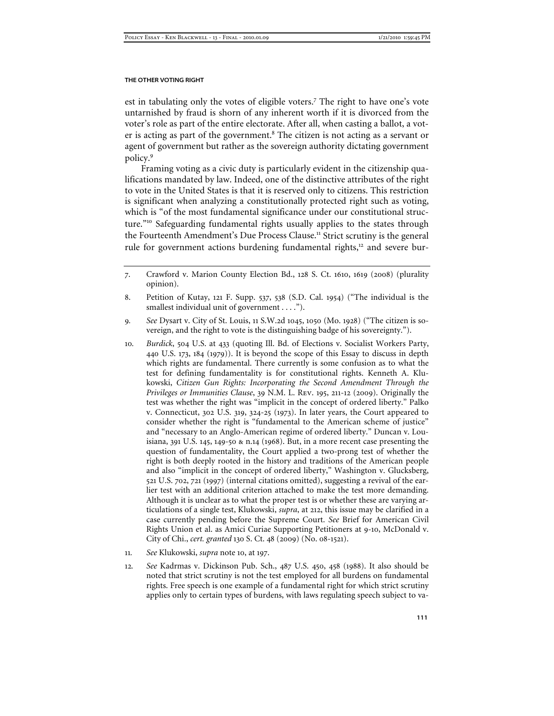#### **THE OTHER VOTING RIGHT**

est in tabulating only the votes of eligible voters.<sup>7</sup> The right to have one's vote untarnished by fraud is shorn of any inherent worth if it is divorced from the voter's role as part of the entire electorate. After all, when casting a ballot, a voter is acting as part of the government.<sup>8</sup> The citizen is not acting as a servant or agent of government but rather as the sovereign authority dictating government policy.<sup>9</sup>

Framing voting as a civic duty is particularly evident in the citizenship qualifications mandated by law. Indeed, one of the distinctive attributes of the right to vote in the United States is that it is reserved only to citizens. This restriction is significant when analyzing a constitutionally protected right such as voting, which is "of the most fundamental significance under our constitutional structure."<sup>10</sup> Safeguarding fundamental rights usually applies to the states through the Fourteenth Amendment's Due Process Clause.<sup>11</sup> Strict scrutiny is the general rule for government actions burdening fundamental rights,<sup>12</sup> and severe bur-

- 10*. Burdick*, 504 U.S. at 433 (quoting Ill. Bd. of Elections v. Socialist Workers Party, 440 U.S. 173, 184 (1979)). It is beyond the scope of this Essay to discuss in depth which rights are fundamental. There currently is some confusion as to what the test for defining fundamentality is for constitutional rights. Kenneth A. Klukowski, *Citizen Gun Rights: Incorporating the Second Amendment Through the Privileges or Immunities Clause*, 39 N.M. L. Rev. 195, 211-12 (2009). Originally the test was whether the right was "implicit in the concept of ordered liberty." Palko v. Connecticut, 302 U.S. 319, 324-25 (1973). In later years, the Court appeared to consider whether the right is "fundamental to the American scheme of justice" and "necessary to an Anglo-American regime of ordered liberty." Duncan v. Louisiana, 391 U.S. 145, 149-50 & n.14 (1968). But, in a more recent case presenting the question of fundamentality, the Court applied a two-prong test of whether the right is both deeply rooted in the history and traditions of the American people and also "implicit in the concept of ordered liberty," Washington v. Glucksberg, 521 U.S. 702, 721 (1997) (internal citations omitted), suggesting a revival of the earlier test with an additional criterion attached to make the test more demanding. Although it is unclear as to what the proper test is or whether these are varying articulations of a single test, Klukowski, *supra*, at 212, this issue may be clarified in a case currently pending before the Supreme Court. *See* Brief for American Civil Rights Union et al. as Amici Curiae Supporting Petitioners at 9-10, McDonald v. City of Chi., *cert. granted* 130 S. Ct. 48 (2009) (No. 08-1521).
- 11*. See* Klukowski, *supra* note 10, at 197.
- 12*. See* Kadrmas v. Dickinson Pub. Sch., 487 U.S. 450, 458 (1988). It also should be noted that strict scrutiny is not the test employed for all burdens on fundamental rights. Free speech is one example of a fundamental right for which strict scrutiny applies only to certain types of burdens, with laws regulating speech subject to va-

<sup>7</sup>. Crawford v. Marion County Election Bd., 128 S. Ct. 1610, 1619 (2008) (plurality opinion).

<sup>8</sup>. Petition of Kutay, 121 F. Supp. 537, 538 (S.D. Cal. 1954) ("The individual is the smallest individual unit of government . . . .").

<sup>9</sup>*. See* Dysart v. City of St. Louis, 11 S.W.2d 1045, 1050 (Mo. 1928) ("The citizen is sovereign, and the right to vote is the distinguishing badge of his sovereignty.").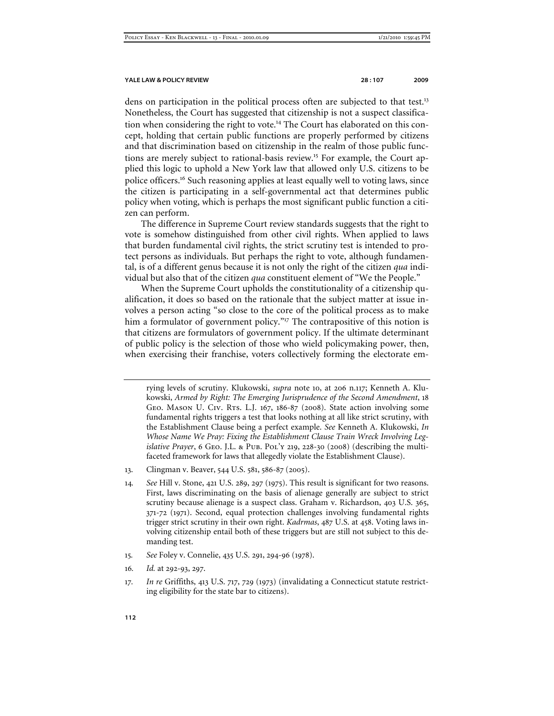dens on participation in the political process often are subjected to that test.<sup>13</sup> Nonetheless, the Court has suggested that citizenship is not a suspect classification when considering the right to vote.<sup>14</sup> The Court has elaborated on this concept, holding that certain public functions are properly performed by citizens and that discrimination based on citizenship in the realm of those public functions are merely subject to rational-basis review.<sup>15</sup> For example, the Court applied this logic to uphold a New York law that allowed only U.S. citizens to be police officers.<sup>16</sup> Such reasoning applies at least equally well to voting laws, since the citizen is participating in a self-governmental act that determines public policy when voting, which is perhaps the most significant public function a citizen can perform.

The difference in Supreme Court review standards suggests that the right to vote is somehow distinguished from other civil rights. When applied to laws that burden fundamental civil rights, the strict scrutiny test is intended to protect persons as individuals. But perhaps the right to vote, although fundamental, is of a different genus because it is not only the right of the citizen *qua* individual but also that of the citizen *qua* constituent element of "We the People."

When the Supreme Court upholds the constitutionality of a citizenship qualification, it does so based on the rationale that the subject matter at issue involves a person acting "so close to the core of the political process as to make him a formulator of government policy."<sup>17</sup> The contrapositive of this notion is that citizens are formulators of government policy. If the ultimate determinant of public policy is the selection of those who wield policymaking power, then, when exercising their franchise, voters collectively forming the electorate em-

rying levels of scrutiny. Klukowski, *supra* note 10, at 206 n.117; Kenneth A. Klukowski, *Armed by Right: The Emerging Jurisprudence of the Second Amendment*, 18 GEO. MASON U. CIV. RTS. L.J. 167, 186-87 (2008). State action involving some fundamental rights triggers a test that looks nothing at all like strict scrutiny, with the Establishment Clause being a perfect example. *See* Kenneth A. Klukowski, *In Whose Name We Pray: Fixing the Establishment Clause Train Wreck Involving Legislative Prayer*, 6 Geo. J.L. & Pub. Pol'y 219, 228-30 (2008) (describing the multifaceted framework for laws that allegedly violate the Establishment Clause).

- 13. Clingman v. Beaver, 544 U.S. 581, 586-87 (2005).
- 14*. See* Hill v. Stone, 421 U.S. 289, 297 (1975). This result is significant for two reasons. First, laws discriminating on the basis of alienage generally are subject to strict scrutiny because alienage is a suspect class. Graham v. Richardson, 403 U.S. 365, 371-72 (1971). Second, equal protection challenges involving fundamental rights trigger strict scrutiny in their own right. *Kadrmas*, 487 U.S. at 458. Voting laws involving citizenship entail both of these triggers but are still not subject to this demanding test.
- 15*. See* Foley v. Connelie, 435 U.S. 291, 294-96 (1978).
- 16*. Id.* at 292-93, 297.
- 17*. In re* Griffiths, 413 U.S. 717, 729 (1973) (invalidating a Connecticut statute restricting eligibility for the state bar to citizens).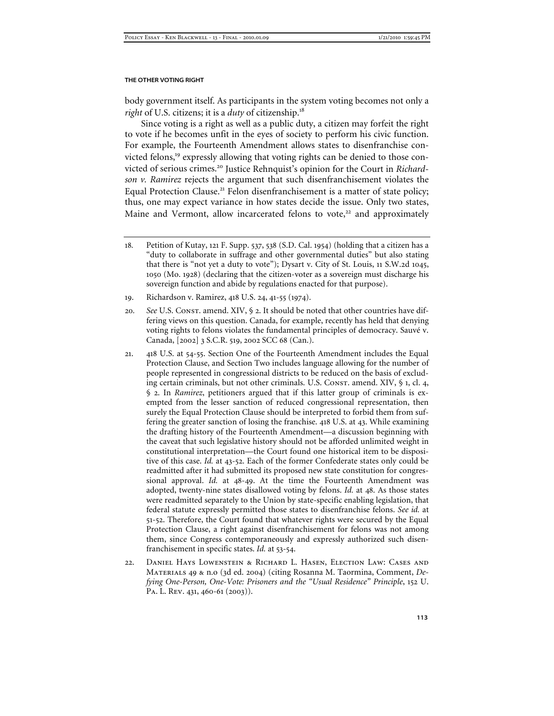body government itself. As participants in the system voting becomes not only a *right* of U.S. citizens; it is a *duty* of citizenship.<sup>18</sup>

Since voting is a right as well as a public duty, a citizen may forfeit the right to vote if he becomes unfit in the eyes of society to perform his civic function. For example, the Fourteenth Amendment allows states to disenfranchise convicted felons,<sup>19</sup> expressly allowing that voting rights can be denied to those convicted of serious crimes.<sup>20</sup> Justice Rehnquist's opinion for the Court in *Richardson v. Ramirez* rejects the argument that such disenfranchisement violates the Equal Protection Clause.<sup>21</sup> Felon disenfranchisement is a matter of state policy; thus, one may expect variance in how states decide the issue. Only two states, Maine and Vermont, allow incarcerated felons to vote, $22$  and approximately

- 20. See U.S. Const. amend. XIV, § 2. It should be noted that other countries have differing views on this question. Canada, for example, recently has held that denying voting rights to felons violates the fundamental principles of democracy. Sauvé v. Canada, [2002] 3 S.C.R. 519, 2002 SCC 68 (Can.).
- 21. 418 U.S. at 54-55. Section One of the Fourteenth Amendment includes the Equal Protection Clause, and Section Two includes language allowing for the number of people represented in congressional districts to be reduced on the basis of excluding certain criminals, but not other criminals. U.S. Const. amend. XIV, § 1, cl. 4, § 2. In *Ramirez*, petitioners argued that if this latter group of criminals is exempted from the lesser sanction of reduced congressional representation, then surely the Equal Protection Clause should be interpreted to forbid them from suffering the greater sanction of losing the franchise. 418 U.S. at 43. While examining the drafting history of the Fourteenth Amendment—a discussion beginning with the caveat that such legislative history should not be afforded unlimited weight in constitutional interpretation—the Court found one historical item to be dispositive of this case. *Id.* at 43-52. Each of the former Confederate states only could be readmitted after it had submitted its proposed new state constitution for congressional approval. *Id.* at 48-49. At the time the Fourteenth Amendment was adopted, twenty-nine states disallowed voting by felons. *Id.* at 48. As those states were readmitted separately to the Union by state-specific enabling legislation, that federal statute expressly permitted those states to disenfranchise felons. *See id.* at 51-52. Therefore, the Court found that whatever rights were secured by the Equal Protection Clause, a right against disenfranchisement for felons was not among them, since Congress contemporaneously and expressly authorized such disenfranchisement in specific states. *Id.* at 53-54.
- 22. Daniel Hays Lowenstein & Richard L. Hasen, Election Law: Cases and Materials 49 & n.o (3d ed. 2004) (citing Rosanna M. Taormina, Comment, *Defying One-Person, One-Vote: Prisoners and the "Usual Residence" Principle*, 152 U. PA. L. REV. 431, 460-61 (2003)).

<sup>18</sup>*.* Petition of Kutay, 121 F. Supp. 537, 538 (S.D. Cal. 1954) (holding that a citizen has a "duty to collaborate in suffrage and other governmental duties" but also stating that there is "not yet a duty to vote"); Dysart v. City of St. Louis, 11 S.W.2d 1045, 1050 (Mo. 1928) (declaring that the citizen-voter as a sovereign must discharge his sovereign function and abide by regulations enacted for that purpose).

<sup>19</sup>. Richardson v. Ramirez, 418 U.S. 24, 41-55 (1974).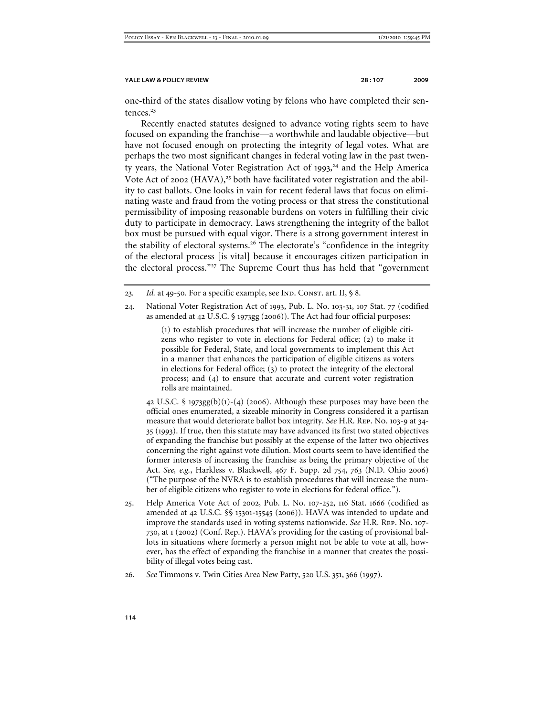one-third of the states disallow voting by felons who have completed their sentences.<sup>23</sup>

Recently enacted statutes designed to advance voting rights seem to have focused on expanding the franchise—a worthwhile and laudable objective—but have not focused enough on protecting the integrity of legal votes. What are perhaps the two most significant changes in federal voting law in the past twenty years, the National Voter Registration Act of 1993, <sup>24</sup> and the Help America Vote Act of 2002 (HAVA),<sup>25</sup> both have facilitated voter registration and the ability to cast ballots. One looks in vain for recent federal laws that focus on eliminating waste and fraud from the voting process or that stress the constitutional permissibility of imposing reasonable burdens on voters in fulfilling their civic duty to participate in democracy. Laws strengthening the integrity of the ballot box must be pursued with equal vigor. There is a strong government interest in the stability of electoral systems.<sup>26</sup> The electorate's "confidence in the integrity of the electoral process [is vital] because it encourages citizen participation in the electoral process."<sup>27</sup> The Supreme Court thus has held that "government

(1) to establish procedures that will increase the number of eligible citizens who register to vote in elections for Federal office; (2) to make it possible for Federal, State, and local governments to implement this Act in a manner that enhances the participation of eligible citizens as voters in elections for Federal office; (3) to protect the integrity of the electoral process; and (4) to ensure that accurate and current voter registration rolls are maintained.

42 U.S.C. § 1973gg(b)(1)-(4) (2006). Although these purposes may have been the official ones enumerated, a sizeable minority in Congress considered it a partisan measure that would deteriorate ballot box integrity. *See* H.R. Rep. No. 103-9 at 34- 35 (1993). If true, then this statute may have advanced its first two stated objectives of expanding the franchise but possibly at the expense of the latter two objectives concerning the right against vote dilution. Most courts seem to have identified the former interests of increasing the franchise as being the primary objective of the Act. *See, e.g.*, Harkless v. Blackwell, 467 F. Supp. 2d 754, 763 (N.D. Ohio 2006) ("The purpose of the NVRA is to establish procedures that will increase the number of eligible citizens who register to vote in elections for federal office.").

- 25. Help America Vote Act of 2002, Pub. L. No. 107-252, 116 Stat. 1666 (codified as amended at 42 U.S.C. §§ 15301-15545 (2006)). HAVA was intended to update and improve the standards used in voting systems nationwide. *See* H.R. Rep. No. 107- 730, at 1 (2002) (Conf. Rep.). HAVA's providing for the casting of provisional ballots in situations where formerly a person might not be able to vote at all, however, has the effect of expanding the franchise in a manner that creates the possibility of illegal votes being cast.
- 26*. See* Timmons v. Twin Cities Area New Party, 520 U.S. 351, 366 (1997).

<sup>23.</sup> Id. at 49-50. For a specific example, see IND. CONST. art. II, § 8.

<sup>24</sup>. National Voter Registration Act of 1993, Pub. L. No. 103-31, 107 Stat. 77 (codified as amended at 42 U.S.C. § 1973gg (2006)). The Act had four official purposes: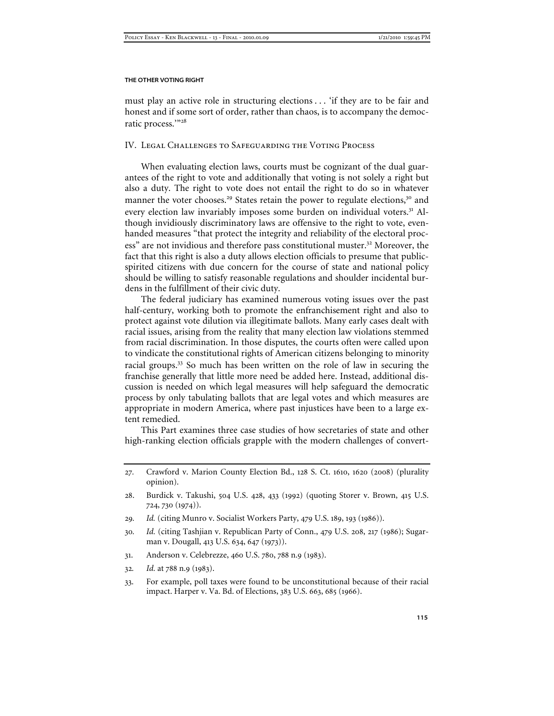must play an active role in structuring elections . . . 'if they are to be fair and honest and if some sort of order, rather than chaos, is to accompany the democratic process.'"<sup>28</sup>

#### IV. Legal Challenges to Safeguarding the Voting Process

When evaluating election laws, courts must be cognizant of the dual guarantees of the right to vote and additionally that voting is not solely a right but also a duty. The right to vote does not entail the right to do so in whatever manner the voter chooses.<sup>29</sup> States retain the power to regulate elections,<sup>30</sup> and every election law invariably imposes some burden on individual voters.<sup>31</sup> Although invidiously discriminatory laws are offensive to the right to vote, evenhanded measures "that protect the integrity and reliability of the electoral process" are not invidious and therefore pass constitutional muster.<sup>32</sup> Moreover, the fact that this right is also a duty allows election officials to presume that publicspirited citizens with due concern for the course of state and national policy should be willing to satisfy reasonable regulations and shoulder incidental burdens in the fulfillment of their civic duty.

The federal judiciary has examined numerous voting issues over the past half-century, working both to promote the enfranchisement right and also to protect against vote dilution via illegitimate ballots. Many early cases dealt with racial issues, arising from the reality that many election law violations stemmed from racial discrimination. In those disputes, the courts often were called upon to vindicate the constitutional rights of American citizens belonging to minority racial groups.<sup>33</sup> So much has been written on the role of law in securing the franchise generally that little more need be added here. Instead, additional discussion is needed on which legal measures will help safeguard the democratic process by only tabulating ballots that are legal votes and which measures are appropriate in modern America, where past injustices have been to a large extent remedied.

This Part examines three case studies of how secretaries of state and other high-ranking election officials grapple with the modern challenges of convert-

- 30*. Id.* (citing Tashjian v. Republican Party of Conn., 479 U.S. 208, 217 (1986); Sugarman v. Dougall, 413 U.S. 634, 647 (1973)).
- 31. Anderson v. Celebrezze, 460 U.S. 780, 788 n.9 (1983).
- 32*. Id.* at 788 n.9 (1983).
- 33. For example, poll taxes were found to be unconstitutional because of their racial impact. Harper v. Va. Bd. of Elections, 383 U.S. 663, 685 (1966).

<sup>27</sup>*.* Crawford v. Marion County Election Bd., 128 S. Ct. 1610, 1620 (2008) (plurality opinion).

<sup>28</sup>. Burdick v. Takushi, 504 U.S. 428, 433 (1992) (quoting Storer v. Brown, 415 U.S. 724, 730 (1974)).

<sup>29</sup>*. Id.* (citing Munro v. Socialist Workers Party, 479 U.S. 189, 193 (1986)).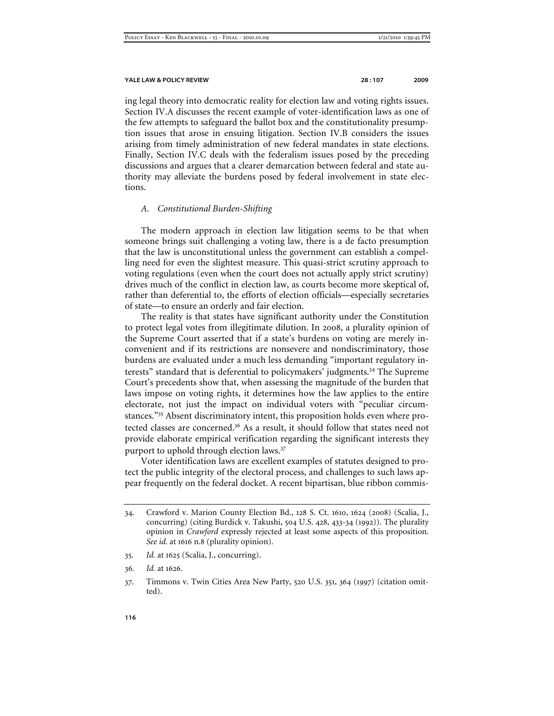ing legal theory into democratic reality for election law and voting rights issues. Section IV.A discusses the recent example of voter-identification laws as one of the few attempts to safeguard the ballot box and the constitutionality presumption issues that arose in ensuing litigation. Section IV.B considers the issues arising from timely administration of new federal mandates in state elections. Finally, Section IV.C deals with the federalism issues posed by the preceding discussions and argues that a clearer demarcation between federal and state authority may alleviate the burdens posed by federal involvement in state elections.

#### *A. Constitutional Burden-Shifting*

The modern approach in election law litigation seems to be that when someone brings suit challenging a voting law, there is a de facto presumption that the law is unconstitutional unless the government can establish a compelling need for even the slightest measure. This quasi-strict scrutiny approach to voting regulations (even when the court does not actually apply strict scrutiny) drives much of the conflict in election law, as courts become more skeptical of, rather than deferential to, the efforts of election officials—especially secretaries of state—to ensure an orderly and fair election.

The reality is that states have significant authority under the Constitution to protect legal votes from illegitimate dilution. In 2008, a plurality opinion of the Supreme Court asserted that if a state's burdens on voting are merely inconvenient and if its restrictions are nonsevere and nondiscriminatory, those burdens are evaluated under a much less demanding "important regulatory interests" standard that is deferential to policymakers' judgments.<sup>34</sup> The Supreme Court's precedents show that, when assessing the magnitude of the burden that laws impose on voting rights, it determines how the law applies to the entire electorate, not just the impact on individual voters with "peculiar circumstances."<sup>35</sup> Absent discriminatory intent, this proposition holds even where protected classes are concerned.<sup>36</sup> As a result, it should follow that states need not provide elaborate empirical verification regarding the significant interests they purport to uphold through election laws.<sup>37</sup>

Voter identification laws are excellent examples of statutes designed to protect the public integrity of the electoral process, and challenges to such laws appear frequently on the federal docket. A recent bipartisan, blue ribbon commis-

- 35*. Id.* at 1625 (Scalia, J., concurring).
- 36*. Id.* at 1626.
- 37. Timmons v. Twin Cities Area New Party, 520 U.S. 351, 364 (1997) (citation omitted).

<sup>34</sup>. Crawford v. Marion County Election Bd., 128 S. Ct. 1610, 1624 (2008) (Scalia, J., concurring) (citing Burdick v. Takushi, 504 U.S. 428, 433-34 (1992)). The plurality opinion in *Crawford* expressly rejected at least some aspects of this proposition. *See id.* at 1616 n.8 (plurality opinion).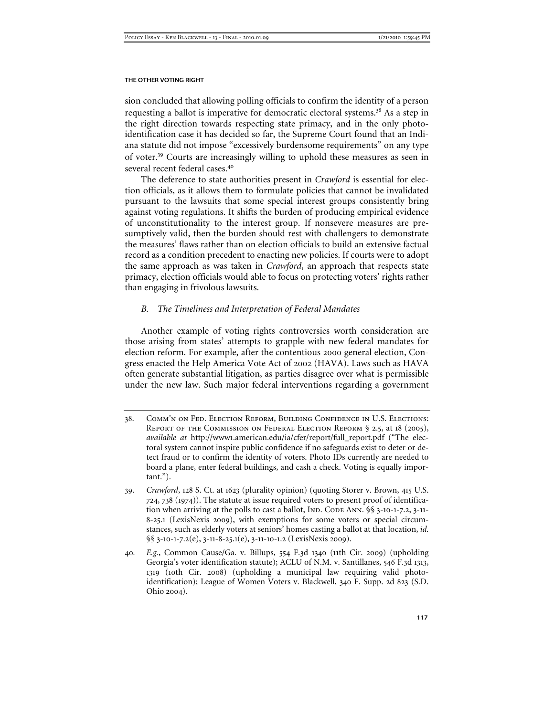sion concluded that allowing polling officials to confirm the identity of a person requesting a ballot is imperative for democratic electoral systems.<sup>38</sup> As a step in the right direction towards respecting state primacy, and in the only photoidentification case it has decided so far, the Supreme Court found that an Indiana statute did not impose "excessively burdensome requirements" on any type of voter.<sup>39</sup> Courts are increasingly willing to uphold these measures as seen in several recent federal cases<sup>40</sup>

The deference to state authorities present in *Crawford* is essential for election officials, as it allows them to formulate policies that cannot be invalidated pursuant to the lawsuits that some special interest groups consistently bring against voting regulations. It shifts the burden of producing empirical evidence of unconstitutionality to the interest group. If nonsevere measures are presumptively valid, then the burden should rest with challengers to demonstrate the measures' flaws rather than on election officials to build an extensive factual record as a condition precedent to enacting new policies. If courts were to adopt the same approach as was taken in *Crawford*, an approach that respects state primacy, election officials would able to focus on protecting voters' rights rather than engaging in frivolous lawsuits.

# *B. The Timeliness and Interpretation of Federal Mandates*

Another example of voting rights controversies worth consideration are those arising from states' attempts to grapple with new federal mandates for election reform. For example, after the contentious 2000 general election, Congress enacted the Help America Vote Act of 2002 (HAVA). Laws such as HAVA often generate substantial litigation, as parties disagree over what is permissible under the new law. Such major federal interventions regarding a government

- 38. Comm'n on Fed. Election Reform, Building Confidence in U.S. Elections: REPORT OF THE COMMISSION ON FEDERAL ELECTION REFORM § 2.5, at 18 (2005), *available at* http://www1.american.edu/ia/cfer/report/full\_report.pdf ("The electoral system cannot inspire public confidence if no safeguards exist to deter or detect fraud or to confirm the identity of voters. Photo IDs currently are needed to board a plane, enter federal buildings, and cash a check. Voting is equally important.").
- 39. *Crawford*, 128 S. Ct. at 1623 (plurality opinion) (quoting Storer v. Brown, 415 U.S. 724, 738 (1974)). The statute at issue required voters to present proof of identification when arriving at the polls to cast a ballot, IND. CODE ANN. §§ 3-10-1-7.2, 3-11-8-25.1 (LexisNexis 2009), with exemptions for some voters or special circumstances, such as elderly voters at seniors' homes casting a ballot at that location, *id.* §§ 3-10-1-7.2(e), 3-11-8-25.1(e), 3-11-10-1.2 (LexisNexis 2009).
- 40*. E.g.*, Common Cause/Ga. v. Billups, 554 F.3d 1340 (11th Cir. 2009) (upholding Georgia's voter identification statute); ACLU of N.M. v. Santillanes, 546 F.3d 1313, 1319 (10th Cir. 2008) (upholding a municipal law requiring valid photoidentification); League of Women Voters v. Blackwell, 340 F. Supp. 2d 823 (S.D. Ohio 2004).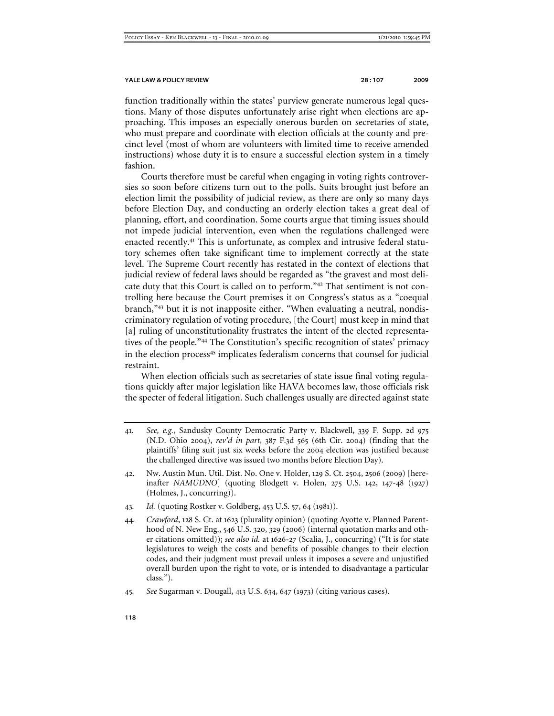function traditionally within the states' purview generate numerous legal questions. Many of those disputes unfortunately arise right when elections are approaching. This imposes an especially onerous burden on secretaries of state, who must prepare and coordinate with election officials at the county and precinct level (most of whom are volunteers with limited time to receive amended instructions) whose duty it is to ensure a successful election system in a timely fashion.

Courts therefore must be careful when engaging in voting rights controversies so soon before citizens turn out to the polls. Suits brought just before an election limit the possibility of judicial review, as there are only so many days before Election Day, and conducting an orderly election takes a great deal of planning, effort, and coordination. Some courts argue that timing issues should not impede judicial intervention, even when the regulations challenged were enacted recently.<sup>41</sup> This is unfortunate, as complex and intrusive federal statutory schemes often take significant time to implement correctly at the state level. The Supreme Court recently has restated in the context of elections that judicial review of federal laws should be regarded as "the gravest and most delicate duty that this Court is called on to perform."<sup>42</sup> That sentiment is not controlling here because the Court premises it on Congress's status as a "coequal branch,"<sup>43</sup> but it is not inapposite either. "When evaluating a neutral, nondiscriminatory regulation of voting procedure, [the Court] must keep in mind that [a] ruling of unconstitutionality frustrates the intent of the elected representatives of the people."<sup>44</sup> The Constitution's specific recognition of states' primacy in the election process<sup>45</sup> implicates federalism concerns that counsel for judicial restraint.

When election officials such as secretaries of state issue final voting regulations quickly after major legislation like HAVA becomes law, those officials risk the specter of federal litigation. Such challenges usually are directed against state

- 41*. See, e.g.*, Sandusky County Democratic Party v. Blackwell, 339 F. Supp. 2d 975 (N.D. Ohio 2004), *rev'd in part*, 387 F.3d 565 (6th Cir. 2004) (finding that the plaintiffs' filing suit just six weeks before the 2004 election was justified because the challenged directive was issued two months before Election Day).
- 42. Nw. Austin Mun. Util. Dist. No. One v. Holder, 129 S. Ct. 2504, 2506 (2009) [hereinafter *NAMUDNO*] (quoting Blodgett v. Holen, 275 U.S. 142, 147-48 (1927) (Holmes, J., concurring)).
- 43*. Id.* (quoting Rostker v. Goldberg, 453 U.S. 57, 64 (1981)).
- 44. *Crawford*, 128 S. Ct. at 1623 (plurality opinion) (quoting Ayotte v. Planned Parenthood of N. New Eng., 546 U.S. 320, 329 (2006) (internal quotation marks and other citations omitted)); *see also id.* at 1626-27 (Scalia, J., concurring) ("It is for state legislatures to weigh the costs and benefits of possible changes to their election codes, and their judgment must prevail unless it imposes a severe and unjustified overall burden upon the right to vote, or is intended to disadvantage a particular class.").

<sup>45</sup>*. See* Sugarman v. Dougall, 413 U.S. 634, 647 (1973) (citing various cases).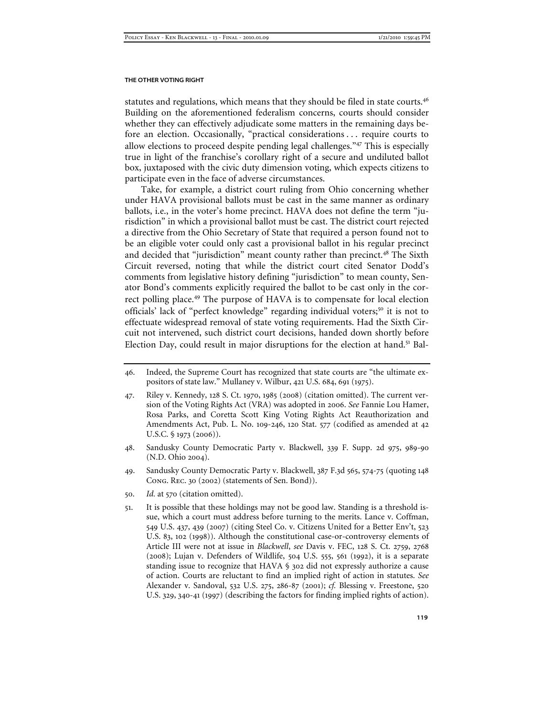statutes and regulations, which means that they should be filed in state courts.<sup>46</sup> Building on the aforementioned federalism concerns, courts should consider whether they can effectively adjudicate some matters in the remaining days before an election. Occasionally, "practical considerations . . . require courts to allow elections to proceed despite pending legal challenges."<sup>47</sup> This is especially true in light of the franchise's corollary right of a secure and undiluted ballot box, juxtaposed with the civic duty dimension voting, which expects citizens to participate even in the face of adverse circumstances.

Take, for example, a district court ruling from Ohio concerning whether under HAVA provisional ballots must be cast in the same manner as ordinary ballots, i.e., in the voter's home precinct. HAVA does not define the term "jurisdiction" in which a provisional ballot must be cast. The district court rejected a directive from the Ohio Secretary of State that required a person found not to be an eligible voter could only cast a provisional ballot in his regular precinct and decided that "jurisdiction" meant county rather than precinct.<sup>48</sup> The Sixth Circuit reversed, noting that while the district court cited Senator Dodd's comments from legislative history defining "jurisdiction" to mean county, Senator Bond's comments explicitly required the ballot to be cast only in the correct polling place.<sup>49</sup> The purpose of HAVA is to compensate for local election officials' lack of "perfect knowledge" regarding individual voters;<sup>50</sup> it is not to effectuate widespread removal of state voting requirements. Had the Sixth Circuit not intervened, such district court decisions, handed down shortly before Election Day, could result in major disruptions for the election at hand.<sup>51</sup> Bal-

- 48. Sandusky County Democratic Party v. Blackwell, 339 F. Supp. 2d 975, 989-90 (N.D. Ohio 2004).
- 49. Sandusky County Democratic Party v. Blackwell, 387 F.3d 565, 574-75 (quoting 148 Cong. Rec. 30 (2002) (statements of Sen. Bond)).
- 50. *Id.* at 570 (citation omitted).
- 51. It is possible that these holdings may not be good law. Standing is a threshold issue, which a court must address before turning to the merits. Lance v. Coffman, 549 U.S. 437, 439 (2007) (citing Steel Co. v. Citizens United for a Better Env't, 523 U.S. 83, 102 (1998)). Although the constitutional case-or-controversy elements of Article III were not at issue in *Blackwell*, *see* Davis v. FEC, 128 S. Ct. 2759, 2768 (2008); Lujan v. Defenders of Wildlife, 504 U.S. 555, 561 (1992), it is a separate standing issue to recognize that HAVA § 302 did not expressly authorize a cause of action. Courts are reluctant to find an implied right of action in statutes. *See* Alexander v. Sandoval, 532 U.S. 275, 286-87 (2001); *cf.* Blessing v. Freestone, 520 U.S. 329, 340-41 (1997) (describing the factors for finding implied rights of action).

<sup>46</sup>. Indeed, the Supreme Court has recognized that state courts are "the ultimate expositors of state law." Mullaney v. Wilbur, 421 U.S. 684, 691 (1975).

<sup>47</sup>. Riley v. Kennedy, 128 S. Ct. 1970, 1985 (2008) (citation omitted). The current version of the Voting Rights Act (VRA) was adopted in 2006. *See* Fannie Lou Hamer, Rosa Parks, and Coretta Scott King Voting Rights Act Reauthorization and Amendments Act, Pub. L. No. 109-246, 120 Stat. 577 (codified as amended at 42 U.S.C. § 1973 (2006)).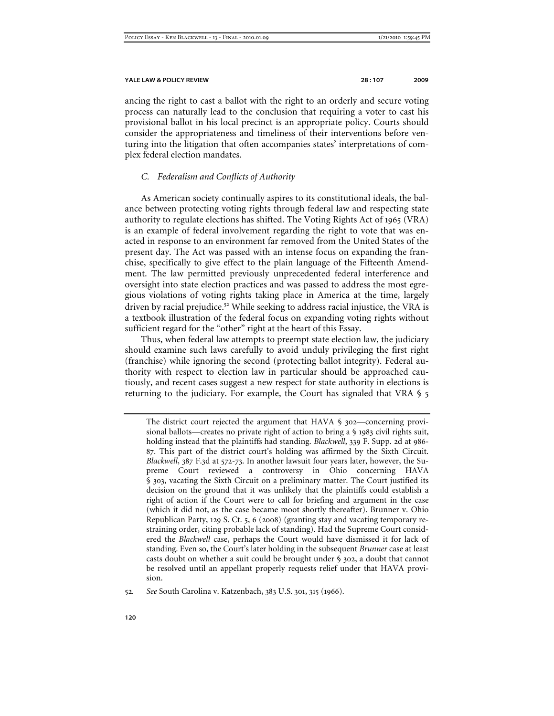ancing the right to cast a ballot with the right to an orderly and secure voting process can naturally lead to the conclusion that requiring a voter to cast his provisional ballot in his local precinct is an appropriate policy. Courts should consider the appropriateness and timeliness of their interventions before venturing into the litigation that often accompanies states' interpretations of complex federal election mandates.

## *C. Federalism and Conflicts of Authority*

As American society continually aspires to its constitutional ideals, the balance between protecting voting rights through federal law and respecting state authority to regulate elections has shifted. The Voting Rights Act of 1965 (VRA) is an example of federal involvement regarding the right to vote that was enacted in response to an environment far removed from the United States of the present day. The Act was passed with an intense focus on expanding the franchise, specifically to give effect to the plain language of the Fifteenth Amendment. The law permitted previously unprecedented federal interference and oversight into state election practices and was passed to address the most egregious violations of voting rights taking place in America at the time, largely driven by racial prejudice.<sup>52</sup> While seeking to address racial injustice, the VRA is a textbook illustration of the federal focus on expanding voting rights without sufficient regard for the "other" right at the heart of this Essay.

Thus, when federal law attempts to preempt state election law, the judiciary should examine such laws carefully to avoid unduly privileging the first right (franchise) while ignoring the second (protecting ballot integrity). Federal authority with respect to election law in particular should be approached cautiously, and recent cases suggest a new respect for state authority in elections is returning to the judiciary. For example, the Court has signaled that VRA § 5

The district court rejected the argument that HAVA § 302—concerning provisional ballots—creates no private right of action to bring a § 1983 civil rights suit, holding instead that the plaintiffs had standing. *Blackwell*, 339 F. Supp. 2d at 986- 87. This part of the district court's holding was affirmed by the Sixth Circuit. *Blackwell*, 387 F.3d at 572-73. In another lawsuit four years later, however, the Supreme Court reviewed a controversy in Ohio concerning HAVA § 303, vacating the Sixth Circuit on a preliminary matter. The Court justified its decision on the ground that it was unlikely that the plaintiffs could establish a right of action if the Court were to call for briefing and argument in the case (which it did not, as the case became moot shortly thereafter). Brunner v. Ohio Republican Party, 129 S. Ct. 5, 6 (2008) (granting stay and vacating temporary restraining order, citing probable lack of standing). Had the Supreme Court considered the *Blackwell* case, perhaps the Court would have dismissed it for lack of standing. Even so, the Court's later holding in the subsequent *Brunner* case at least casts doubt on whether a suit could be brought under § 302, a doubt that cannot be resolved until an appellant properly requests relief under that HAVA provision.

<sup>52</sup>*. See* South Carolina v. Katzenbach, 383 U.S. 301, 315 (1966).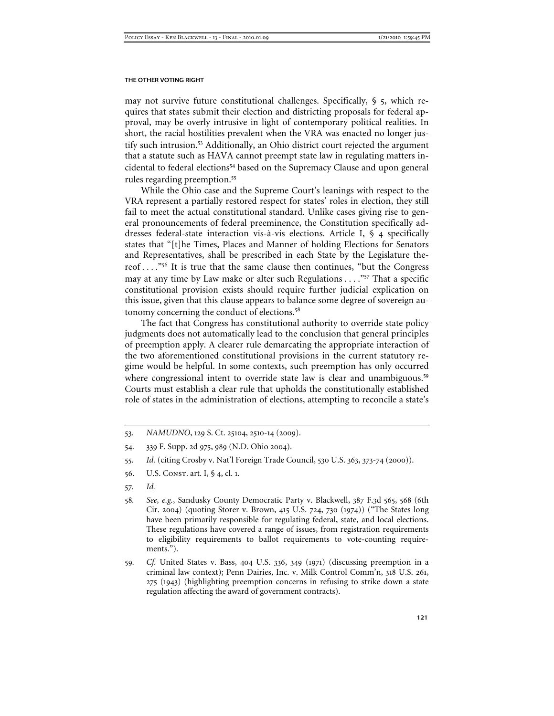may not survive future constitutional challenges. Specifically,  $\S$  5, which requires that states submit their election and districting proposals for federal approval, may be overly intrusive in light of contemporary political realities. In short, the racial hostilities prevalent when the VRA was enacted no longer justify such intrusion.<sup>53</sup> Additionally, an Ohio district court rejected the argument that a statute such as HAVA cannot preempt state law in regulating matters incidental to federal elections<sup>54</sup> based on the Supremacy Clause and upon general rules regarding preemption.<sup>55</sup>

While the Ohio case and the Supreme Court's leanings with respect to the VRA represent a partially restored respect for states' roles in election, they still fail to meet the actual constitutional standard. Unlike cases giving rise to general pronouncements of federal preeminence, the Constitution specifically addresses federal-state interaction vis-à-vis elections. Article I, § 4 specifically states that "[t]he Times, Places and Manner of holding Elections for Senators and Representatives, shall be prescribed in each State by the Legislature thereof . . . ."<sup>56</sup> It is true that the same clause then continues, "but the Congress may at any time by Law make or alter such Regulations . . . . "<sup>57</sup> That a specific constitutional provision exists should require further judicial explication on this issue, given that this clause appears to balance some degree of sovereign autonomy concerning the conduct of elections.<sup>58</sup>

The fact that Congress has constitutional authority to override state policy judgments does not automatically lead to the conclusion that general principles of preemption apply. A clearer rule demarcating the appropriate interaction of the two aforementioned constitutional provisions in the current statutory regime would be helpful. In some contexts, such preemption has only occurred where congressional intent to override state law is clear and unambiguous.<sup>59</sup> Courts must establish a clear rule that upholds the constitutionally established role of states in the administration of elections, attempting to reconcile a state's

- 54. 339 F. Supp. 2d 975, 989 (N.D. Ohio 2004).
- 55. *Id.* (citing Crosby v. Nat'l Foreign Trade Council, 530 U.S. 363, 373-74 (2000)).
- 56. U.S. Const. art. I, § 4, cl. 1.
- 57*. Id.*
- 58*. See, e.g.*, Sandusky County Democratic Party v. Blackwell, 387 F.3d 565, 568 (6th Cir. 2004) (quoting Storer v. Brown, 415 U.S. 724, 730 (1974)) ("The States long have been primarily responsible for regulating federal, state, and local elections. These regulations have covered a range of issues, from registration requirements to eligibility requirements to ballot requirements to vote-counting requirements.").
- 59*. Cf.* United States v. Bass, 404 U.S. 336, 349 (1971) (discussing preemption in a criminal law context); Penn Dairies, Inc. v. Milk Control Comm'n, 318 U.S. 261, 275 (1943) (highlighting preemption concerns in refusing to strike down a state regulation affecting the award of government contracts).

<sup>53</sup>*. NAMUDNO*, 129 S. Ct. 25104, 2510-14 (2009).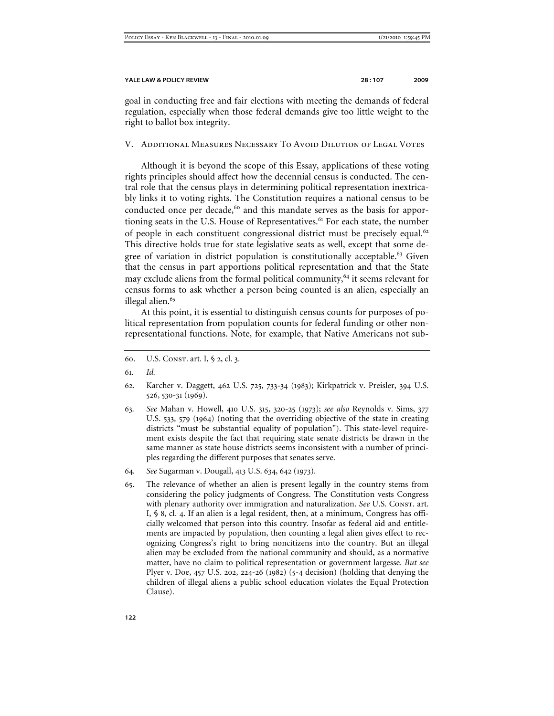goal in conducting free and fair elections with meeting the demands of federal regulation, especially when those federal demands give too little weight to the right to ballot box integrity.

#### V. Additional Measures Necessary To Avoid Dilution of Legal Votes

Although it is beyond the scope of this Essay, applications of these voting rights principles should affect how the decennial census is conducted. The central role that the census plays in determining political representation inextricably links it to voting rights. The Constitution requires a national census to be conducted once per decade,<sup>60</sup> and this mandate serves as the basis for apportioning seats in the U.S. House of Representatives.<sup>61</sup> For each state, the number of people in each constituent congressional district must be precisely equal.<sup>62</sup> This directive holds true for state legislative seats as well, except that some degree of variation in district population is constitutionally acceptable. $63$  Given that the census in part apportions political representation and that the State may exclude aliens from the formal political community,<sup>64</sup> it seems relevant for census forms to ask whether a person being counted is an alien, especially an illegal alien.<sup>65</sup>

At this point, it is essential to distinguish census counts for purposes of political representation from population counts for federal funding or other nonrepresentational functions. Note, for example, that Native Americans not sub-

- 60. U.S. CONST. art. I, § 2, cl. 3.
- 61*. Id.*
- 62. Karcher v. Daggett, 462 U.S. 725, 733-34 (1983); Kirkpatrick v. Preisler, 394 U.S. 526, 530-31 (1969).
- 63*. See* Mahan v. Howell, 410 U.S. 315, 320-25 (1973); *see also* Reynolds v. Sims, 377 U.S. 533, 579 (1964) (noting that the overriding objective of the state in creating districts "must be substantial equality of population"). This state-level requirement exists despite the fact that requiring state senate districts be drawn in the same manner as state house districts seems inconsistent with a number of principles regarding the different purposes that senates serve.
- 64*. See* Sugarman v. Dougall, 413 U.S. 634, 642 (1973).
- 65. The relevance of whether an alien is present legally in the country stems from considering the policy judgments of Congress. The Constitution vests Congress with plenary authority over immigration and naturalization. *See U.S. Const.* art. I, § 8, cl. 4. If an alien is a legal resident, then, at a minimum, Congress has officially welcomed that person into this country. Insofar as federal aid and entitlements are impacted by population, then counting a legal alien gives effect to recognizing Congress's right to bring noncitizens into the country. But an illegal alien may be excluded from the national community and should, as a normative matter, have no claim to political representation or government largesse. *But see* Plyer v. Doe, 457 U.S. 202, 224-26 (1982) (5-4 decision) (holding that denying the children of illegal aliens a public school education violates the Equal Protection Clause).